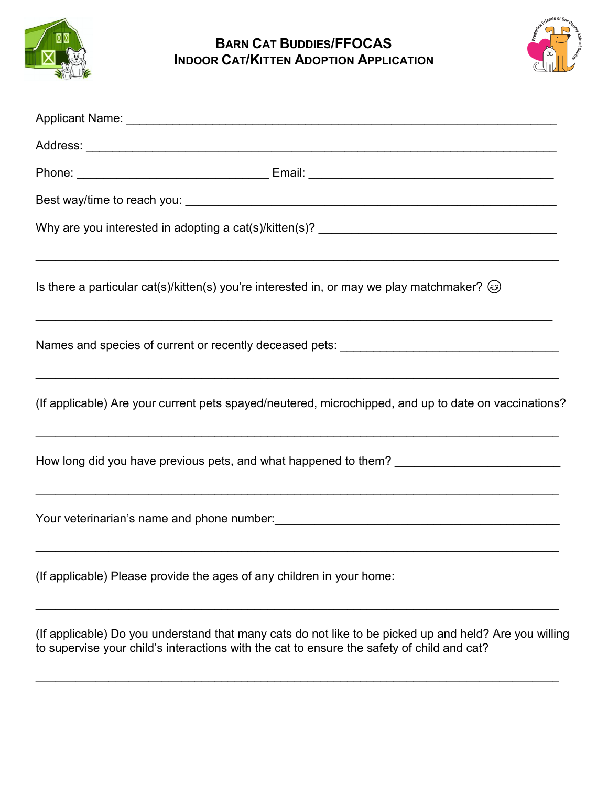

**BARN CAT BUDDIES/FFOCAS INDOOR CAT/KITTEN ADOPTION APPLICATION**



| Is there a particular cat(s)/kitten(s) you're interested in, or may we play matchmaker? $\circled{e}$                                                       |
|-------------------------------------------------------------------------------------------------------------------------------------------------------------|
|                                                                                                                                                             |
| (If applicable) Are your current pets spayed/neutered, microchipped, and up to date on vaccinations?                                                        |
| How long did you have previous pets, and what happened to them? ___________________________________                                                         |
| Your veterinarian's name and phone number:<br>and the manager and the manager and the manager and the same of the number of the manager and the manager and |
| (If applicable) Please provide the ages of any children in your home:                                                                                       |
|                                                                                                                                                             |

(If applicable) Do you understand that many cats do not like to be picked up and held? Are you willing to supervise your child's interactions with the cat to ensure the safety of child and cat?

\_\_\_\_\_\_\_\_\_\_\_\_\_\_\_\_\_\_\_\_\_\_\_\_\_\_\_\_\_\_\_\_\_\_\_\_\_\_\_\_\_\_\_\_\_\_\_\_\_\_\_\_\_\_\_\_\_\_\_\_\_\_\_\_\_\_\_\_\_\_\_\_\_\_\_\_\_\_\_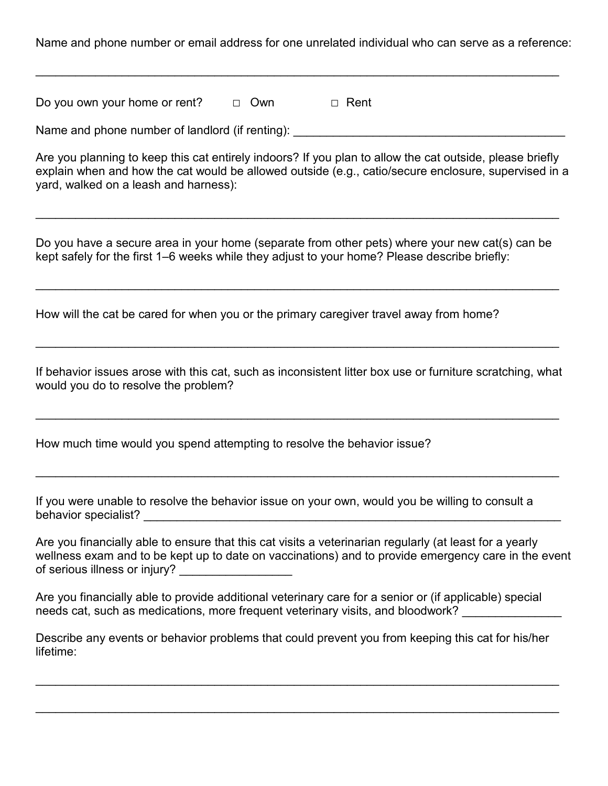Name and phone number or email address for one unrelated individual who can serve as a reference:

\_\_\_\_\_\_\_\_\_\_\_\_\_\_\_\_\_\_\_\_\_\_\_\_\_\_\_\_\_\_\_\_\_\_\_\_\_\_\_\_\_\_\_\_\_\_\_\_\_\_\_\_\_\_\_\_\_\_\_\_\_\_\_\_\_\_\_\_\_\_\_\_\_\_\_\_\_\_\_

Do you own your home or rent?  $□$  Own  $□$  Rent

Name and phone number of landlord (if renting):

Are you planning to keep this cat entirely indoors? If you plan to allow the cat outside, please briefly explain when and how the cat would be allowed outside (e.g., catio/secure enclosure, supervised in a yard, walked on a leash and harness):

Do you have a secure area in your home (separate from other pets) where your new cat(s) can be kept safely for the first 1–6 weeks while they adjust to your home? Please describe briefly:

\_\_\_\_\_\_\_\_\_\_\_\_\_\_\_\_\_\_\_\_\_\_\_\_\_\_\_\_\_\_\_\_\_\_\_\_\_\_\_\_\_\_\_\_\_\_\_\_\_\_\_\_\_\_\_\_\_\_\_\_\_\_\_\_\_\_\_\_\_\_\_\_\_\_\_\_\_\_\_

\_\_\_\_\_\_\_\_\_\_\_\_\_\_\_\_\_\_\_\_\_\_\_\_\_\_\_\_\_\_\_\_\_\_\_\_\_\_\_\_\_\_\_\_\_\_\_\_\_\_\_\_\_\_\_\_\_\_\_\_\_\_\_\_\_\_\_\_\_\_\_\_\_\_\_\_\_\_\_

How will the cat be cared for when you or the primary caregiver travel away from home?

If behavior issues arose with this cat, such as inconsistent litter box use or furniture scratching, what would you do to resolve the problem?

\_\_\_\_\_\_\_\_\_\_\_\_\_\_\_\_\_\_\_\_\_\_\_\_\_\_\_\_\_\_\_\_\_\_\_\_\_\_\_\_\_\_\_\_\_\_\_\_\_\_\_\_\_\_\_\_\_\_\_\_\_\_\_\_\_\_\_\_\_\_\_\_\_\_\_\_\_\_\_

\_\_\_\_\_\_\_\_\_\_\_\_\_\_\_\_\_\_\_\_\_\_\_\_\_\_\_\_\_\_\_\_\_\_\_\_\_\_\_\_\_\_\_\_\_\_\_\_\_\_\_\_\_\_\_\_\_\_\_\_\_\_\_\_\_\_\_\_\_\_\_\_\_\_\_\_\_\_\_

\_\_\_\_\_\_\_\_\_\_\_\_\_\_\_\_\_\_\_\_\_\_\_\_\_\_\_\_\_\_\_\_\_\_\_\_\_\_\_\_\_\_\_\_\_\_\_\_\_\_\_\_\_\_\_\_\_\_\_\_\_\_\_\_\_\_\_\_\_\_\_\_\_\_\_\_\_\_\_

How much time would you spend attempting to resolve the behavior issue?

If you were unable to resolve the behavior issue on your own, would you be willing to consult a behavior specialist? \_\_\_\_\_\_\_\_\_\_\_\_\_\_\_\_\_\_\_\_\_\_\_\_\_\_\_\_\_\_\_\_\_\_\_\_\_\_\_\_\_\_\_\_\_\_\_\_\_\_\_\_\_\_\_\_\_\_\_\_\_\_\_

Are you financially able to ensure that this cat visits a veterinarian regularly (at least for a yearly wellness exam and to be kept up to date on vaccinations) and to provide emergency care in the event of serious illness or injury? \_\_\_\_\_\_\_\_\_\_\_\_\_\_\_\_\_\_\_

Are you financially able to provide additional veterinary care for a senior or (if applicable) special needs cat, such as medications, more frequent veterinary visits, and bloodwork?

Describe any events or behavior problems that could prevent you from keeping this cat for his/her lifetime:

\_\_\_\_\_\_\_\_\_\_\_\_\_\_\_\_\_\_\_\_\_\_\_\_\_\_\_\_\_\_\_\_\_\_\_\_\_\_\_\_\_\_\_\_\_\_\_\_\_\_\_\_\_\_\_\_\_\_\_\_\_\_\_\_\_\_\_\_\_\_\_\_\_\_\_\_\_\_\_

\_\_\_\_\_\_\_\_\_\_\_\_\_\_\_\_\_\_\_\_\_\_\_\_\_\_\_\_\_\_\_\_\_\_\_\_\_\_\_\_\_\_\_\_\_\_\_\_\_\_\_\_\_\_\_\_\_\_\_\_\_\_\_\_\_\_\_\_\_\_\_\_\_\_\_\_\_\_\_